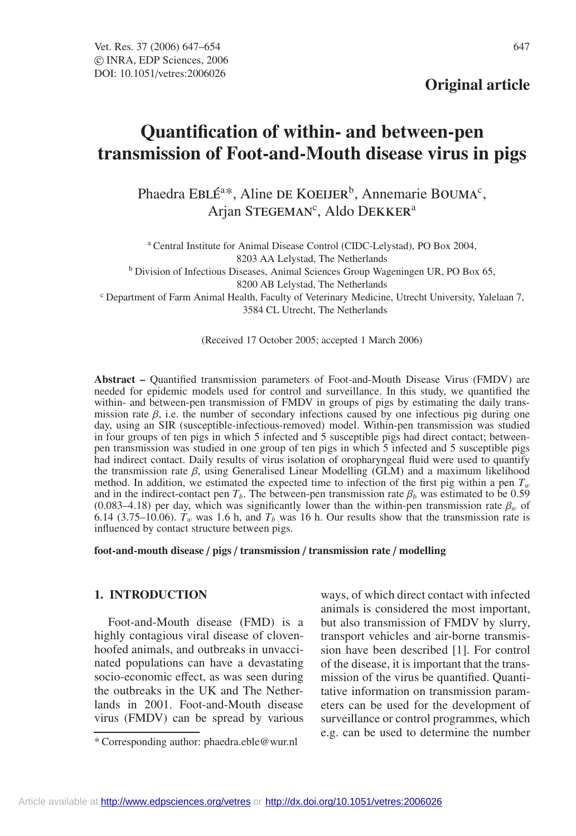# **Quantification of within- and between-pen transmission of Foot-and-Mouth disease virus in pigs**

Phaedra EBLÉ<sup>a\*</sup>, Aline DE KOEIJER<sup>b</sup>, Annemarie BOUMA<sup>c</sup>, Arjan STEGEMAN<sup>c</sup>, Aldo DEKKER<sup>a</sup>

<sup>a</sup> Central Institute for Animal Disease Control (CIDC-Lelystad), PO Box 2004, 8203 AA Lelystad, The Netherlands <sup>b</sup> Division of Infectious Diseases, Animal Sciences Group Wageningen UR, PO Box 65, 8200 AB Lelystad, The Netherlands <sup>c</sup> Department of Farm Animal Health, Faculty of Veterinary Medicine, Utrecht University, Yalelaan 7, 3584 CL Utrecht, The Netherlands

(Received 17 October 2005; accepted 1 March 2006)

**Abstract –** Quantified transmission parameters of Foot-and-Mouth Disease Virus (FMDV) are needed for epidemic models used for control and surveillance. In this study, we quantified the within- and between-pen transmission of FMDV in groups of pigs by estimating the daily transmission rate  $\beta$ , i.e. the number of secondary infections caused by one infectious pig during one day, using an SIR (susceptible-infectious-removed) model. Within-pen transmission was studied in four groups of ten pigs in which 5 infected and 5 susceptible pigs had direct contact; betweenpen transmission was studied in one group of ten pigs in which 5 infected and 5 susceptible pigs had indirect contact. Daily results of virus isolation of oropharyngeal fluid were used to quantify the transmission rate  $\beta$ , using Generalised Linear Modelling (GLM) and a maximum likelihood method. In addition, we estimated the expected time to infection of the first pig within a pen  $T_w$ and in the indirect-contact pen  $T_b$ . The between-pen transmission rate  $\beta_b$  was estimated to be 0.59 (0.083–4.18) per day, which was significantly lower than the within-pen transmission rate  $\beta_w$  of 6.14 (3.75–10.06).  $T_w$  was 1.6 h, and  $T_b$  was 16 h. Our results show that the transmission rate is influenced by contact structure between pigs.

**foot-and-mouth disease** / **pigs** / **transmission** / **transmission rate** / **modelling**

# **1. INTRODUCTION**

Foot-and-Mouth disease (FMD) is a highly contagious viral disease of clovenhoofed animals, and outbreaks in unvaccinated populations can have a devastating socio-economic effect, as was seen during the outbreaks in the UK and The Netherlands in 2001. Foot-and-Mouth disease virus (FMDV) can be spread by various

ways, of which direct contact with infected animals is considered the most important, but also transmission of FMDV by slurry, transport vehicles and air-borne transmission have been described [1]. For control of the disease, it is important that the transmission of the virus be quantified. Quantitative information on transmission parameters can be used for the development of surveillance or control programmes, which e.g. can be used to determine the number

<sup>\*</sup> Corresponding author: phaedra.eble@wur.nl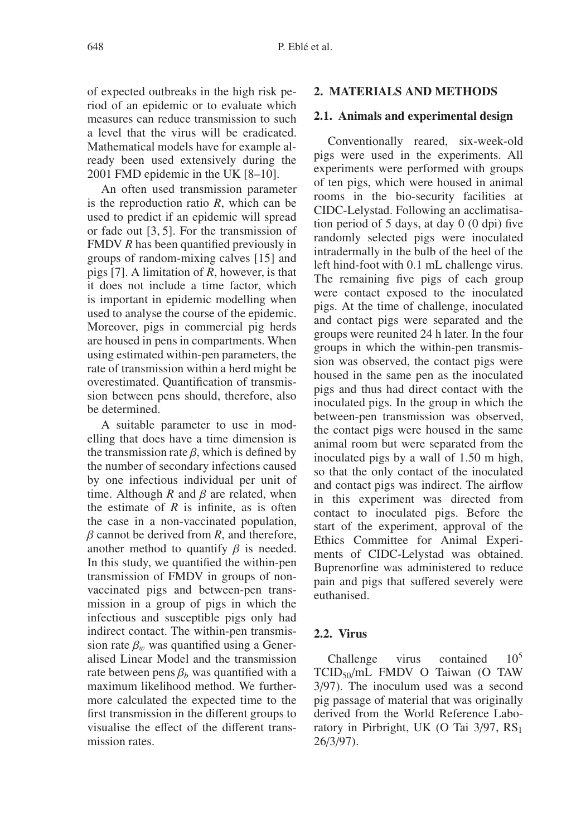of expected outbreaks in the high risk period of an epidemic or to evaluate which measures can reduce transmission to such a level that the virus will be eradicated. Mathematical models have for example already been used extensively during the 2001 FMD epidemic in the UK [8–10].

An often used transmission parameter is the reproduction ratio *R*, which can be used to predict if an epidemic will spread or fade out [3, 5]. For the transmission of FMDV *R* has been quantified previously in groups of random-mixing calves [15] and pigs [7]. A limitation of *R*, however, is that it does not include a time factor, which is important in epidemic modelling when used to analyse the course of the epidemic. Moreover, pigs in commercial pig herds are housed in pens in compartments. When using estimated within-pen parameters, the rate of transmission within a herd might be overestimated. Quantification of transmission between pens should, therefore, also be determined.

A suitable parameter to use in modelling that does have a time dimension is the transmission rate  $\beta$ , which is defined by the number of secondary infections caused by one infectious individual per unit of time. Although *R* and  $\beta$  are related, when the estimate of  $R$  is infinite, as is often the case in a non-vaccinated population,  $\beta$  cannot be derived from  $R$ , and therefore, another method to quantify  $\beta$  is needed. In this study, we quantified the within-pen transmission of FMDV in groups of nonvaccinated pigs and between-pen transmission in a group of pigs in which the infectious and susceptible pigs only had indirect contact. The within-pen transmission rate  $\beta_w$  was quantified using a Generalised Linear Model and the transmission rate between pens  $\beta_b$  was quantified with a maximum likelihood method. We furthermore calculated the expected time to the first transmission in the different groups to visualise the effect of the different transmission rates.

## **2. MATERIALS AND METHODS**

#### **2.1. Animals and experimental design**

Conventionally reared, six-week-old pigs were used in the experiments. All experiments were performed with groups of ten pigs, which were housed in animal rooms in the bio-security facilities at CIDC-Lelystad. Following an acclimatisation period of 5 days, at day 0 (0 dpi) five randomly selected pigs were inoculated intradermally in the bulb of the heel of the left hind-foot with 0.1 mL challenge virus. The remaining five pigs of each group were contact exposed to the inoculated pigs. At the time of challenge, inoculated and contact pigs were separated and the groups were reunited 24 h later. In the four groups in which the within-pen transmission was observed, the contact pigs were housed in the same pen as the inoculated pigs and thus had direct contact with the inoculated pigs. In the group in which the between-pen transmission was observed, the contact pigs were housed in the same animal room but were separated from the inoculated pigs by a wall of 1.50 m high, so that the only contact of the inoculated and contact pigs was indirect. The airflow in this experiment was directed from contact to inoculated pigs. Before the start of the experiment, approval of the Ethics Committee for Animal Experiments of CIDC-Lelystad was obtained. Buprenorfine was administered to reduce pain and pigs that suffered severely were euthanised.

# **2.2. Virus**

Challenge virus contained 10<sup>5</sup> TCID50/mL FMDV O Taiwan (O TAW 3/97). The inoculum used was a second pig passage of material that was originally derived from the World Reference Laboratory in Pirbright, UK (O Tai  $3/97$ , RS<sub>1</sub> 26/3/97).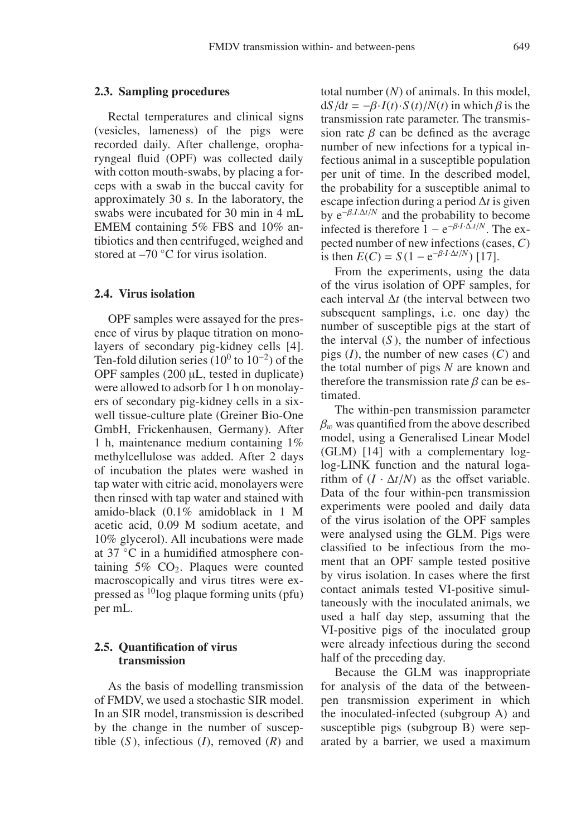#### **2.3. Sampling procedures**

Rectal temperatures and clinical signs (vesicles, lameness) of the pigs were recorded daily. After challenge, oropharyngeal fluid (OPF) was collected daily with cotton mouth-swabs, by placing a forceps with a swab in the buccal cavity for approximately 30 s. In the laboratory, the swabs were incubated for 30 min in 4 mL EMEM containing 5% FBS and 10% antibiotics and then centrifuged, weighed and stored at –70 ◦C for virus isolation.

# **2.4. Virus isolation**

OPF samples were assayed for the presence of virus by plaque titration on monolayers of secondary pig-kidney cells [4]. Ten-fold dilution series (10<sup>0</sup> to 10<sup>-2</sup>) of the OPF samples (200 µL, tested in duplicate) were allowed to adsorb for 1 h on monolayers of secondary pig-kidney cells in a sixwell tissue-culture plate (Greiner Bio-One GmbH, Frickenhausen, Germany). After 1 h, maintenance medium containing 1% methylcellulose was added. After 2 days of incubation the plates were washed in tap water with citric acid, monolayers were then rinsed with tap water and stained with amido-black (0.1% amidoblack in 1 M acetic acid, 0.09 M sodium acetate, and 10% glycerol). All incubations were made at 37 ◦C in a humidified atmosphere containing  $5\%$  CO<sub>2</sub>. Plaques were counted macroscopically and virus titres were expressed as  $^{10}$ log plaque forming units (pfu) per mL.

# **2.5. Quantification of virus transmission**

As the basis of modelling transmission of FMDV, we used a stochastic SIR model. In an SIR model, transmission is described by the change in the number of susceptible  $(S)$ , infectious  $(I)$ , removed  $(R)$  and total number (*N*) of animals. In this model,  $dS/dt = -\beta \cdot I(t) \cdot S(t)/N(t)$  in which  $\beta$  is the transmission rate parameter. The transmission rate  $\beta$  can be defined as the average number of new infections for a typical infectious animal in a susceptible population per unit of time. In the described model, the probability for a susceptible animal to escape infection during a period ∆*t* is given by  $e^{-\beta I \Delta t/N}$  and the probability to become infected is therefore  $1 - e^{-\beta I \cdot \Delta t/N}$ . The expected number of new infections (cases, *C*) is then  $E(C) = S(1 - e^{-\beta I \cdot \Delta t/N})$  [17].

From the experiments, using the data of the virus isolation of OPF samples, for each interval ∆*t* (the interval between two subsequent samplings, i.e. one day) the number of susceptible pigs at the start of the interval (*S* ), the number of infectious pigs (*I*), the number of new cases (*C*) and the total number of pigs *N* are known and therefore the transmission rate  $\beta$  can be estimated.

The within-pen transmission parameter  $\beta_w$  was quantified from the above described model, using a Generalised Linear Model (GLM) [14] with a complementary loglog-LINK function and the natural logarithm of  $(I \cdot \Delta t/N)$  as the offset variable. Data of the four within-pen transmission experiments were pooled and daily data of the virus isolation of the OPF samples were analysed using the GLM. Pigs were classified to be infectious from the moment that an OPF sample tested positive by virus isolation. In cases where the first contact animals tested VI-positive simultaneously with the inoculated animals, we used a half day step, assuming that the VI-positive pigs of the inoculated group were already infectious during the second half of the preceding day.

Because the GLM was inappropriate for analysis of the data of the betweenpen transmission experiment in which the inoculated-infected (subgroup A) and susceptible pigs (subgroup B) were separated by a barrier, we used a maximum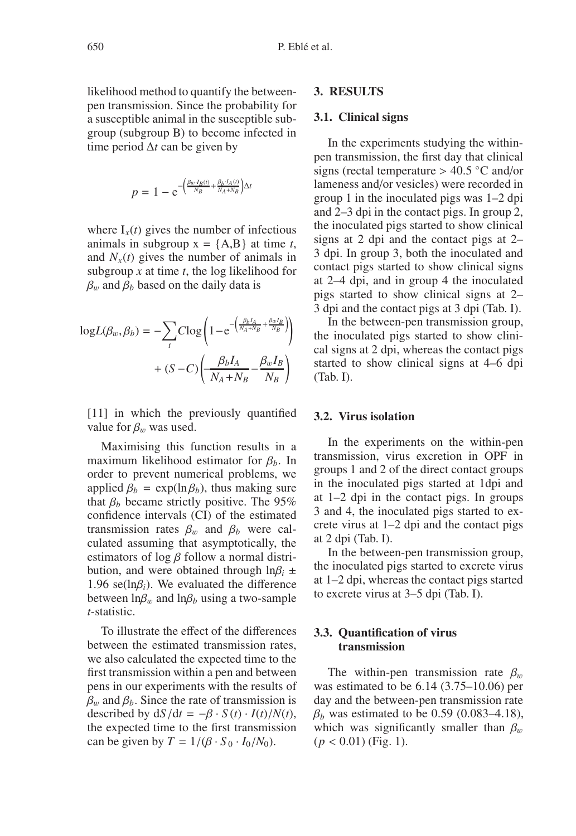likelihood method to quantify the betweenpen transmission. Since the probability for a susceptible animal in the susceptible subgroup (subgroup B) to become infected in time period ∆*t* can be given by

$$
p = 1 - e^{-\left(\frac{\beta_w \cdot I_B(t)}{N_B} + \frac{\beta_b \cdot I_A(t)}{N_A + N_B}\right) \Delta t}
$$

where  $I_x(t)$  gives the number of infectious animals in subgroup  $x = \{A, B\}$  at time *t*, and  $N_x(t)$  gives the number of animals in subgroup *x* at time *t*, the log likelihood for  $\beta_w$  and  $\beta_b$  based on the daily data is

$$
logL(\beta_w, \beta_b) = -\sum_{t} C log\left(1 - e^{-\left(\frac{\beta_b I_A}{N_A + N_B} + \frac{\beta_w I_B}{N_B}\right)}\right) + (S - C) \left(\frac{\beta_b I_A}{N_A + N_B} - \frac{\beta_w I_B}{N_B}\right)
$$

[11] in which the previously quantified value for  $\beta_w$  was used.

Maximising this function results in a maximum likelihood estimator for β*b*. In order to prevent numerical problems, we applied  $\beta_b = \exp(\ln \beta_b)$ , thus making sure that  $\beta_b$  became strictly positive. The 95% confidence intervals (CI) of the estimated transmission rates  $\beta_w$  and  $\beta_b$  were calculated assuming that asymptotically, the estimators of log  $\beta$  follow a normal distribution, and were obtained through  $\ln \beta_i \pm$ 1.96 se(lnβ*i*). We evaluated the difference between  $\ln \beta_w$  and  $\ln \beta_b$  using a two-sample *t*-statistic.

To illustrate the effect of the differences between the estimated transmission rates, we also calculated the expected time to the first transmission within a pen and between pens in our experiments with the results of  $\beta_w$  and  $\beta_b$ . Since the rate of transmission is described by  $dS/dt = -\beta \cdot S(t) \cdot I(t)/N(t)$ , the expected time to the first transmission can be given by  $T = 1/(\beta \cdot S_0 \cdot I_0/N_0)$ .

#### **3. RESULTS**

#### **3.1. Clinical signs**

In the experiments studying the withinpen transmission, the first day that clinical signs (rectal temperature  $> 40.5$  °C and/or lameness and/or vesicles) were recorded in group 1 in the inoculated pigs was 1–2 dpi and 2–3 dpi in the contact pigs. In group 2, the inoculated pigs started to show clinical signs at 2 dpi and the contact pigs at 2– 3 dpi. In group 3, both the inoculated and contact pigs started to show clinical signs at 2–4 dpi, and in group 4 the inoculated pigs started to show clinical signs at 2– 3 dpi and the contact pigs at 3 dpi (Tab. I).

In the between-pen transmission group, the inoculated pigs started to show clinical signs at 2 dpi, whereas the contact pigs started to show clinical signs at 4–6 dpi (Tab. I).

## **3.2. Virus isolation**

In the experiments on the within-pen transmission, virus excretion in OPF in groups 1 and 2 of the direct contact groups in the inoculated pigs started at 1dpi and at 1–2 dpi in the contact pigs. In groups 3 and 4, the inoculated pigs started to excrete virus at 1–2 dpi and the contact pigs at 2 dpi (Tab. I).

In the between-pen transmission group, the inoculated pigs started to excrete virus at 1–2 dpi, whereas the contact pigs started to excrete virus at 3–5 dpi (Tab. I).

# **3.3. Quantification of virus transmission**

The within-pen transmission rate  $\beta_w$ was estimated to be 6.14 (3.75–10.06) per day and the between-pen transmission rate  $β<sub>b</sub>$  was estimated to be 0.59 (0.083–4.18), which was significantly smaller than  $\beta_w$ (*p* < 0.01) (Fig. 1).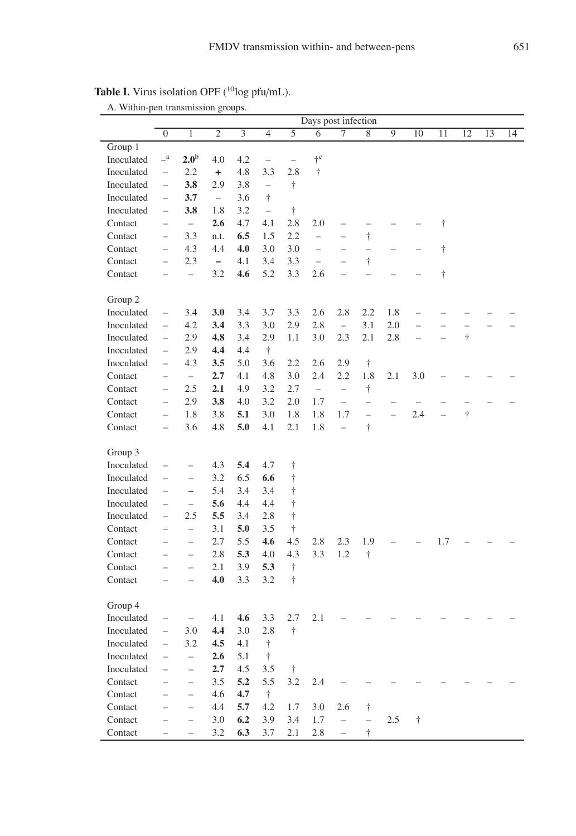|            | Days post infection                        |                          |                          |     |                          |                          |                          |                          |                          |                          |                          |                          |           |    |    |
|------------|--------------------------------------------|--------------------------|--------------------------|-----|--------------------------|--------------------------|--------------------------|--------------------------|--------------------------|--------------------------|--------------------------|--------------------------|-----------|----|----|
|            | $\mathbf{0}$                               | $\mathbf{1}$             | 2                        | 3   | $\overline{4}$           | 5                        | 6                        | 7                        | 8                        | 9                        | 10                       | 11                       | 12        | 13 | 14 |
| Group 1    |                                            |                          |                          |     |                          |                          |                          |                          |                          |                          |                          |                          |           |    |    |
| Inoculated | $-^{\mathrm{a}}$                           | 2.0 <sup>b</sup>         | 4.0                      | 4.2 | $\overline{\phantom{0}}$ | $\overline{\phantom{0}}$ | $\dagger$ c              |                          |                          |                          |                          |                          |           |    |    |
| Inoculated | $\overline{\phantom{0}}$                   | 2.2                      | $\ddot{}$                | 4.8 | 3.3                      | 2.8                      | $\dagger$                |                          |                          |                          |                          |                          |           |    |    |
| Inoculated | $\qquad \qquad -$                          | 3.8                      | 2.9                      | 3.8 | $\overline{\phantom{0}}$ | Ť                        |                          |                          |                          |                          |                          |                          |           |    |    |
| Inoculated | $\overline{\phantom{0}}$                   | 3.7                      | $\overline{\phantom{0}}$ | 3.6 | $\ddagger$               |                          |                          |                          |                          |                          |                          |                          |           |    |    |
| Inoculated | $\overline{\phantom{0}}$                   | 3.8                      | 1.8                      | 3.2 | $\overline{\phantom{0}}$ | $\ddagger$               |                          |                          |                          |                          |                          |                          |           |    |    |
| Contact    | $\qquad \qquad -$                          | $\overline{\phantom{0}}$ | 2.6                      | 4.7 | 4.1                      | 2.8                      | 2.0                      |                          | $\overline{\phantom{0}}$ |                          |                          | $\dagger$                |           |    |    |
| Contact    | $\overline{a}$                             | 3.3                      | n.t.                     | 6.5 | 1.5                      | 2.2                      | $\overline{a}$           | $\overline{a}$           | $\dagger$                |                          |                          |                          |           |    |    |
| Contact    | $\overline{a}$                             | 4.3                      | 4.4                      | 4.0 | 3.0                      | 3.0                      | $\overline{a}$           | $\overline{a}$           | $\overline{\phantom{0}}$ | $\overline{\phantom{0}}$ |                          | Ť                        |           |    |    |
| Contact    | $\overline{a}$                             | 2.3                      | $\overline{\phantom{a}}$ | 4.1 | 3.4                      | 3.3                      | $\overline{\phantom{0}}$ | $\overline{a}$           | $\dagger$                |                          |                          |                          |           |    |    |
| Contact    | $\overline{\phantom{a}}$                   | $\overline{\phantom{0}}$ | 3.2                      | 4.6 | 5.2                      | 3.3                      | 2.6                      | $\overline{\phantom{a}}$ | $\overline{a}$           | $\overline{\phantom{0}}$ |                          | $\dagger$                |           |    |    |
|            |                                            |                          |                          |     |                          |                          |                          |                          |                          |                          |                          |                          |           |    |    |
| Group 2    |                                            |                          |                          |     |                          |                          |                          |                          |                          |                          |                          |                          |           |    |    |
| Inoculated |                                            | 3.4                      | 3.0                      | 3.4 | 3.7                      | 3.3                      | 2.6                      | 2.8                      | 2.2                      | 1.8                      |                          |                          |           |    |    |
| Inoculated | $\overline{a}$<br>$\overline{\phantom{0}}$ | 4.2                      | 3.4                      | 3.3 | 3.0                      | 2.9                      | 2.8                      | $\overline{\phantom{0}}$ | 3.1                      | 2.0                      |                          |                          |           |    |    |
| Inoculated |                                            | 2.9                      | 4.8                      | 3.4 | 2.9                      | 1.1                      | 3.0                      | 2.3                      | 2.1                      | 2.8                      |                          |                          | $\dagger$ |    |    |
|            | $\qquad \qquad -$                          |                          |                          |     |                          |                          |                          |                          |                          |                          | $\overline{\phantom{0}}$ |                          |           |    |    |
| Inoculated | $\overline{\phantom{0}}$                   | 2.9                      | 4.4                      | 4.4 | $\dagger$                |                          |                          |                          |                          |                          |                          |                          |           |    |    |
| Inoculated | $\qquad \qquad -$                          | 4.3                      | 3.5                      | 5.0 | 3.6                      | 2.2                      | 2.6                      | 2.9                      | $\dagger$                |                          |                          |                          |           |    |    |
| Contact    | $\overline{\phantom{0}}$                   | $\equiv$                 | 2.7                      | 4.1 | 4.8                      | 3.0                      | 2.4                      | 2.2                      | 1.8                      | 2.1                      | 3.0                      |                          |           |    |    |
| Contact    | $\overline{a}$                             | 2.5                      | 2.1                      | 4.9 | 3.2                      | 2.7                      | $\bar{ }$                | $\qquad \qquad -$        | $^\dagger$               |                          |                          |                          |           |    |    |
| Contact    | $\overline{\phantom{0}}$                   | 2.9                      | 3.8                      | 4.0 | 3.2                      | 2.0                      | 1.7                      | $\overline{a}$           | $\overline{a}$           |                          |                          |                          |           |    |    |
| Contact    | $\qquad \qquad -$                          | 1.8                      | 3.8                      | 5.1 | 3.0                      | 1.8                      | 1.8                      | 1.7                      | $\overline{\phantom{0}}$ | $\overline{\phantom{0}}$ | 2.4                      | $\overline{\phantom{a}}$ | $\dagger$ |    |    |
| Contact    | $\overline{\phantom{0}}$                   | 3.6                      | 4.8                      | 5.0 | 4.1                      | 2.1                      | 1.8                      | $\overline{\phantom{0}}$ | $\dagger$                |                          |                          |                          |           |    |    |
|            |                                            |                          |                          |     |                          |                          |                          |                          |                          |                          |                          |                          |           |    |    |
| Group 3    |                                            |                          |                          |     |                          |                          |                          |                          |                          |                          |                          |                          |           |    |    |
| Inoculated | $\qquad \qquad -$                          | $\qquad \qquad -$        | 4.3                      | 5.4 | 4.7                      | Ť                        |                          |                          |                          |                          |                          |                          |           |    |    |
| Inoculated | $\overline{\phantom{0}}$                   | $\qquad \qquad -$        | 3.2                      | 6.5 | 6.6                      | Ť                        |                          |                          |                          |                          |                          |                          |           |    |    |
| Inoculated | $\overline{\phantom{0}}$                   | $\overline{\phantom{0}}$ | 5.4                      | 3.4 | 3.4                      | $\dot{\dagger}$          |                          |                          |                          |                          |                          |                          |           |    |    |
| Inoculated | $\qquad \qquad -$                          | $\overline{\phantom{0}}$ | 5.6                      | 4.4 | 4.4                      | $\dagger$                |                          |                          |                          |                          |                          |                          |           |    |    |
| Inoculated | $\overline{a}$                             | 2.5                      | 5.5                      | 3.4 | 2.8                      | $\dagger$                |                          |                          |                          |                          |                          |                          |           |    |    |
| Contact    | $\overline{a}$                             | $\frac{1}{2}$            | 3.1                      | 5.0 | 3.5                      | Ť                        |                          |                          |                          |                          |                          |                          |           |    |    |
| Contact    | $\overline{\phantom{0}}$                   | $\overline{a}$           | 2.7                      | 5.5 | 4.6                      | 4.5                      | 2.8                      | 2.3                      | 1.9                      |                          |                          | 1.7                      |           |    |    |
| Contact    | $\overline{a}$                             | $\overline{\phantom{0}}$ | 2.8                      | 5.3 | 4.0                      | 4.3                      | 3.3                      | 1.2                      | $\dot{\top}$             |                          |                          |                          |           |    |    |
| Contact    | $\overline{\phantom{0}}$                   | $\overline{a}$           | 2.1                      | 3.9 | 5.3                      | $\dagger$                |                          |                          |                          |                          |                          |                          |           |    |    |
| Contact    | $\overline{\phantom{0}}$                   | $\overline{\phantom{0}}$ | 4.0                      | 3.3 | 3.2                      | $\dagger$                |                          |                          |                          |                          |                          |                          |           |    |    |
|            |                                            |                          |                          |     |                          |                          |                          |                          |                          |                          |                          |                          |           |    |    |
| Group 4    |                                            |                          |                          |     |                          |                          |                          |                          |                          |                          |                          |                          |           |    |    |
| Inoculated | $\qquad \qquad -$                          | $\overline{\phantom{0}}$ | 4.1                      | 4.6 | 3.3                      | 2.7                      | 2.1                      |                          |                          |                          |                          |                          |           |    |    |
| Inoculated | $\overline{\phantom{0}}$                   | 3.0                      | 4.4                      | 3.0 | 2.8                      | $\ddagger$               |                          |                          |                          |                          |                          |                          |           |    |    |
| Inoculated | $\overline{a}$                             | 3.2                      | 4.5                      | 4.1 | $\dagger$                |                          |                          |                          |                          |                          |                          |                          |           |    |    |
| Inoculated | $\overline{\phantom{0}}$                   | $\overline{a}$           | 2.6                      | 5.1 | $\dagger$                |                          |                          |                          |                          |                          |                          |                          |           |    |    |
| Inoculated | $\overline{\phantom{0}}$                   | $\overline{\phantom{0}}$ | 2.7                      | 4.5 | 3.5                      | $\dagger$                |                          |                          |                          |                          |                          |                          |           |    |    |
| Contact    | $\overline{\phantom{0}}$                   | $\qquad \qquad -$        | 3.5                      | 5.2 | 5.5                      | 3.2                      | 2.4                      |                          |                          |                          |                          |                          |           |    |    |
| Contact    | $\overline{a}$                             | $\qquad \qquad -$        | 4.6                      | 4.7 | $\dagger$                |                          |                          |                          |                          |                          |                          |                          |           |    |    |
| Contact    | $\overline{\phantom{0}}$                   | $\qquad \qquad -$        | 4.4                      | 5.7 | 4.2                      | 1.7                      | 3.0                      | 2.6                      | $^\dagger$               |                          |                          |                          |           |    |    |
| Contact    | $\overline{\phantom{0}}$                   | $\overline{\phantom{0}}$ | 3.0                      | 6.2 | 3.9                      | 3.4                      | 1.7                      | $\overline{\phantom{0}}$ | $\overline{\phantom{0}}$ | 2.5                      | $\dagger$                |                          |           |    |    |
| Contact    | $\overline{\phantom{0}}$                   | $\overline{\phantom{0}}$ | 3.2                      | 6.3 | 3.7                      | 2.1                      | 2.8                      | $\overline{a}$           | $\dagger$                |                          |                          |                          |           |    |    |
|            |                                            |                          |                          |     |                          |                          |                          |                          |                          |                          |                          |                          |           |    |    |

Table I. Virus isolation OPF (<sup>10</sup>log pfu/mL). A. Within-pen transmission groups.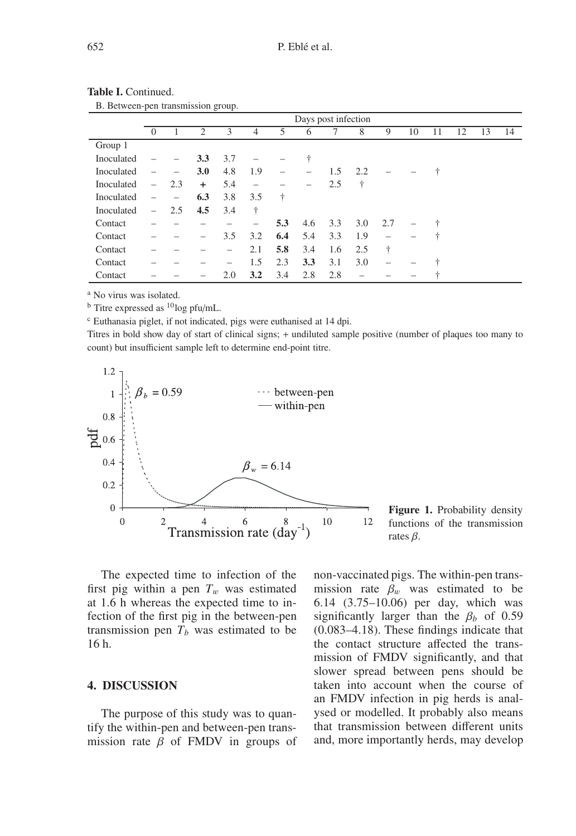|            | Days post infection      |                          |                |                          |                          |                          |     |     |     |                          |    |    |    |    |    |
|------------|--------------------------|--------------------------|----------------|--------------------------|--------------------------|--------------------------|-----|-----|-----|--------------------------|----|----|----|----|----|
|            | $\Omega$                 |                          | $\overline{c}$ | 3                        | 4                        | 5                        | 6   |     | 8   | 9                        | 10 | 11 | 12 | 13 | 14 |
| Group 1    |                          |                          |                |                          |                          |                          |     |     |     |                          |    |    |    |    |    |
| Inoculated |                          |                          | 3.3            | 3.7                      |                          |                          | ÷   |     |     |                          |    |    |    |    |    |
| Inoculated |                          | -                        | 3.0            | 4.8                      | 1.9                      | $\overline{\phantom{0}}$ | -   | 1.5 | 2.2 |                          |    | ÷  |    |    |    |
| Inoculated | $\overline{\phantom{0}}$ | 2.3                      | $\ddot{}$      | 5.4                      | $\overline{\phantom{0}}$ |                          |     | 2.5 | ÷   |                          |    |    |    |    |    |
| Inoculated | $\overline{\phantom{0}}$ | $\overline{\phantom{0}}$ | 6.3            | 3.8                      | 3.5                      | $\ddagger$               |     |     |     |                          |    |    |    |    |    |
| Inoculated | $\overline{\phantom{0}}$ | 2.5                      | 4.5            | 3.4                      | ÷                        |                          |     |     |     |                          |    |    |    |    |    |
| Contact    |                          |                          |                |                          | $\qquad \qquad -$        | 5.3                      | 4.6 | 3.3 | 3.0 | 2.7                      |    |    |    |    |    |
| Contact    |                          |                          | -              | 3.5                      | 3.2                      | 6.4                      | 5.4 | 3.3 | 1.9 | $\overline{\phantom{0}}$ |    | ÷  |    |    |    |
| Contact    |                          |                          |                | $\overline{\phantom{0}}$ | 2.1                      | 5.8                      | 3.4 | 1.6 | 2.5 | ÷                        |    |    |    |    |    |
| Contact    |                          |                          |                | $\qquad \qquad -$        | 1.5                      | 2.3                      | 3.3 | 3.1 | 3.0 |                          |    | ÷  |    |    |    |
| Contact    |                          |                          |                | 2.0                      | 3.2                      | 3.4                      | 2.8 | 2.8 |     |                          |    |    |    |    |    |

| <b>Table I.</b> Continued. |  |
|----------------------------|--|
|----------------------------|--|

B. Between-pen transmission group.

<sup>a</sup> No virus was isolated.

 $<sup>b</sup>$  Titre expressed as  $<sup>10</sup>$ log pfu/mL.</sup></sup>

<sup>c</sup> Euthanasia piglet, if not indicated, pigs were euthanised at 14 dpi.

Titres in bold show day of start of clinical signs; + undiluted sample positive (number of plaques too many to count) but insufficient sample left to determine end-point titre.



The expected time to infection of the first pig within a pen  $T_w$  was estimated at 1.6 h whereas the expected time to infection of the first pig in the between-pen transmission pen  $T_b$  was estimated to be 16 h.

## **4. DISCUSSION**

The purpose of this study was to quantify the within-pen and between-pen transmission rate  $\beta$  of FMDV in groups of

non-vaccinated pigs. The within-pen transmission rate  $\beta_w$  was estimated to be 6.14 (3.75–10.06) per day, which was significantly larger than the  $\beta_b$  of 0.59 (0.083–4.18). These findings indicate that the contact structure affected the transmission of FMDV significantly, and that slower spread between pens should be taken into account when the course of an FMDV infection in pig herds is analysed or modelled. It probably also means that transmission between different units and, more importantly herds, may develop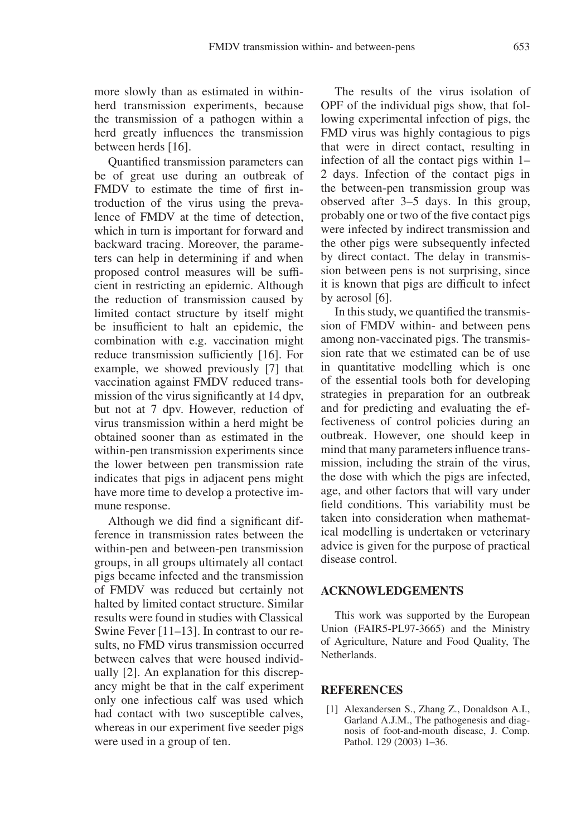Quantified transmission parameters can be of great use during an outbreak of FMDV to estimate the time of first introduction of the virus using the prevalence of FMDV at the time of detection, which in turn is important for forward and backward tracing. Moreover, the parameters can help in determining if and when proposed control measures will be sufficient in restricting an epidemic. Although the reduction of transmission caused by limited contact structure by itself might be insufficient to halt an epidemic, the combination with e.g. vaccination might reduce transmission sufficiently [16]. For example, we showed previously [7] that vaccination against FMDV reduced transmission of the virus significantly at 14 dpv, but not at 7 dpv. However, reduction of virus transmission within a herd might be obtained sooner than as estimated in the within-pen transmission experiments since the lower between pen transmission rate indicates that pigs in adjacent pens might have more time to develop a protective immune response.

Although we did find a significant difference in transmission rates between the within-pen and between-pen transmission groups, in all groups ultimately all contact pigs became infected and the transmission of FMDV was reduced but certainly not halted by limited contact structure. Similar results were found in studies with Classical Swine Fever [11–13]. In contrast to our results, no FMD virus transmission occurred between calves that were housed individually [2]. An explanation for this discrepancy might be that in the calf experiment only one infectious calf was used which had contact with two susceptible calves, whereas in our experiment five seeder pigs were used in a group of ten.

The results of the virus isolation of OPF of the individual pigs show, that following experimental infection of pigs, the FMD virus was highly contagious to pigs that were in direct contact, resulting in infection of all the contact pigs within 1– 2 days. Infection of the contact pigs in the between-pen transmission group was observed after 3–5 days. In this group, probably one or two of the five contact pigs were infected by indirect transmission and the other pigs were subsequently infected by direct contact. The delay in transmission between pens is not surprising, since it is known that pigs are difficult to infect by aerosol [6].

In this study, we quantified the transmission of FMDV within- and between pens among non-vaccinated pigs. The transmission rate that we estimated can be of use in quantitative modelling which is one of the essential tools both for developing strategies in preparation for an outbreak and for predicting and evaluating the effectiveness of control policies during an outbreak. However, one should keep in mind that many parameters influence transmission, including the strain of the virus, the dose with which the pigs are infected, age, and other factors that will vary under field conditions. This variability must be taken into consideration when mathematical modelling is undertaken or veterinary advice is given for the purpose of practical disease control.

## **ACKNOWLEDGEMENTS**

This work was supported by the European Union (FAIR5-PL97-3665) and the Ministry of Agriculture, Nature and Food Quality, The Netherlands.

## **REFERENCES**

[1] Alexandersen S., Zhang Z., Donaldson A.I., Garland A.J.M., The pathogenesis and diagnosis of foot-and-mouth disease, J. Comp. Pathol. 129 (2003) 1–36.